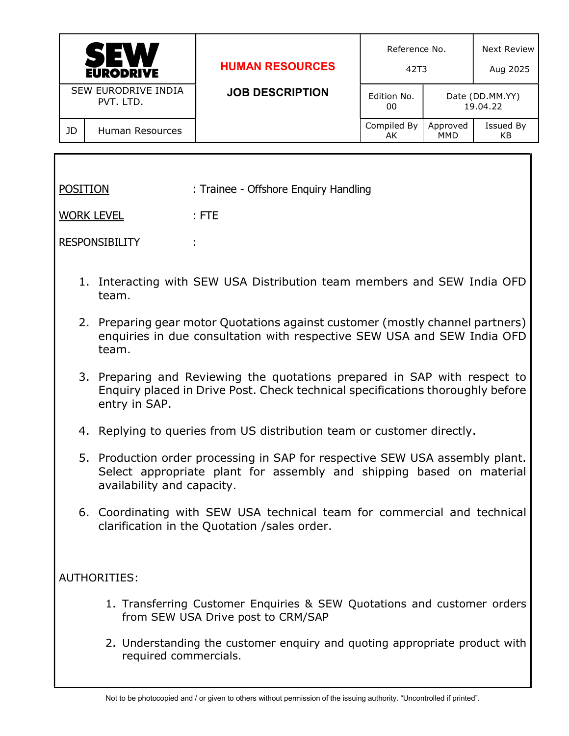|                                         | <b>SEW</b><br><b>EURODRIVE</b> | <b>HUMAN RESOURCES</b> | Reference No.<br>42T3 |                 | Next Review<br>Aug 2025     |
|-----------------------------------------|--------------------------------|------------------------|-----------------------|-----------------|-----------------------------|
| <b>SEW EURODRIVE INDIA</b><br>PVT. LTD. |                                | <b>JOB DESCRIPTION</b> | Edition No.<br>00     |                 | Date (DD.MM.YY)<br>19.04.22 |
| JD                                      | Human Resources                |                        | Compiled By<br>AK     | Approved<br>MMD | Issued By<br>KB             |

| <b>POSITION</b>       | : Trainee - Offshore Enquiry Handling |
|-----------------------|---------------------------------------|
| <b>WORK LEVEL</b>     | $:$ FTE                               |
| <b>RESPONSIBILITY</b> | ۰.                                    |
|                       |                                       |

- 1. Interacting with SEW USA Distribution team members and SEW India OFD team.
- 2. Preparing gear motor Quotations against customer (mostly channel partners) enquiries in due consultation with respective SEW USA and SEW India OFD team.
- 3. Preparing and Reviewing the quotations prepared in SAP with respect to Enquiry placed in Drive Post. Check technical specifications thoroughly before entry in SAP.
- 4. Replying to queries from US distribution team or customer directly.
- 5. Production order processing in SAP for respective SEW USA assembly plant. Select appropriate plant for assembly and shipping based on material availability and capacity.
- 6. Coordinating with SEW USA technical team for commercial and technical clarification in the Quotation /sales order.

## AUTHORITIES:

- 1. Transferring Customer Enquiries & SEW Quotations and customer orders from SEW USA Drive post to CRM/SAP
- 2. Understanding the customer enquiry and quoting appropriate product with required commercials.